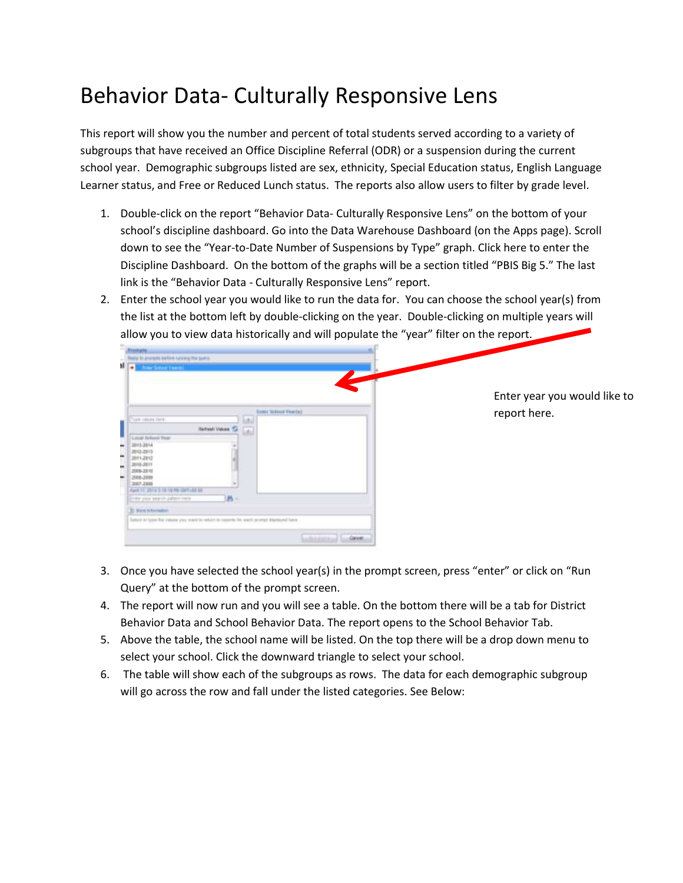## Behavior Data- Culturally Responsive Lens

This report will show you the number and percent of total students served according to a variety of subgroups that have received an Office Discipline Referral (ODR) or a suspension during the current school year. Demographic subgroups listed are sex, ethnicity, Special Education status, English Language Learner status, and Free or Reduced Lunch status. The reports also allow users to filter by grade level.

- 1. Double-click on the report "Behavior Data- Culturally Responsive Lens" on the bottom of your school's discipline dashboard. Go into the Data Warehouse Dashboard (on the Apps page). Scroll down to see the "Year-to-Date Number of Suspensions by Type" graph. Click here to enter the Discipline Dashboard. On the bottom of the graphs will be a section titled "PBIS Big 5." The last link is the "Behavior Data - Culturally Responsive Lens" report.
- 2. Enter the school year you would like to run the data for. You can choose the school year(s) from the list at the bottom left by double-clicking on the year. Double-clicking on multiple years will allow you to view data historically and will populate the "year" filter on the report.



- 3. Once you have selected the school year(s) in the prompt screen, press "enter" or click on "Run Query" at the bottom of the prompt screen.
- 4. The report will now run and you will see a table. On the bottom there will be a tab for District Behavior Data and School Behavior Data. The report opens to the School Behavior Tab.
- 5. Above the table, the school name will be listed. On the top there will be a drop down menu to select your school. Click the downward triangle to select your school.
- 6. The table will show each of the subgroups as rows. The data for each demographic subgroup will go across the row and fall under the listed categories. See Below: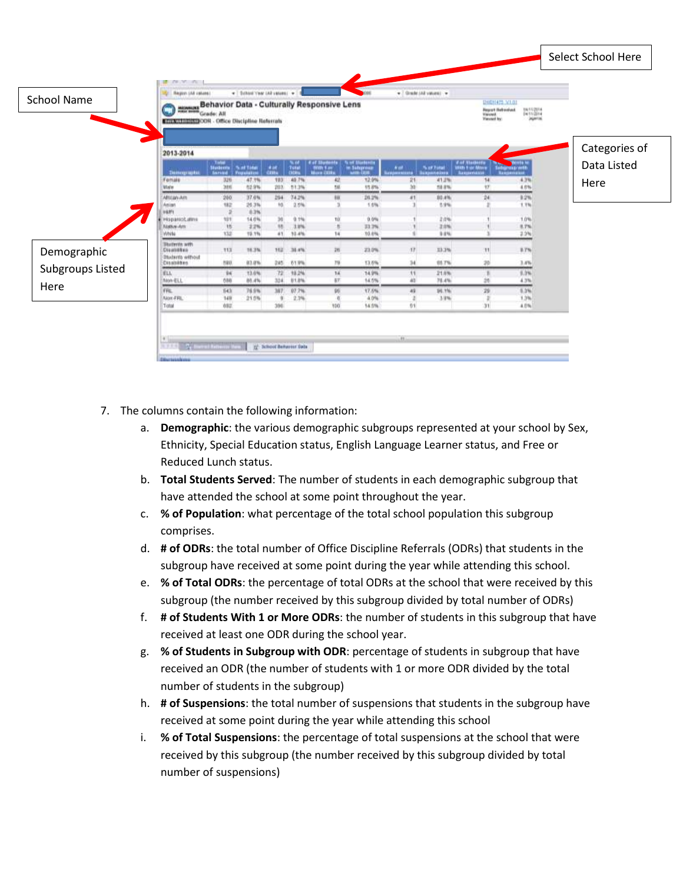

- 7. The columns contain the following information:
	- a. **Demographic**: the various demographic subgroups represented at your school by Sex, Ethnicity, Special Education status, English Language Learner status, and Free or Reduced Lunch status.
	- b. **Total Students Served**: The number of students in each demographic subgroup that have attended the school at some point throughout the year.
	- c. **% of Population**: what percentage of the total school population this subgroup comprises.
	- d. **# of ODRs**: the total number of Office Discipline Referrals (ODRs) that students in the subgroup have received at some point during the year while attending this school.
	- e. **% of Total ODRs**: the percentage of total ODRs at the school that were received by this subgroup (the number received by this subgroup divided by total number of ODRs)
	- f. **# of Students With 1 or More ODRs**: the number of students in this subgroup that have received at least one ODR during the school year.
	- g. **% of Students in Subgroup with ODR**: percentage of students in subgroup that have received an ODR (the number of students with 1 or more ODR divided by the total number of students in the subgroup)
	- h. **# of Suspensions**: the total number of suspensions that students in the subgroup have received at some point during the year while attending this school
	- i. **% of Total Suspensions**: the percentage of total suspensions at the school that were received by this subgroup (the number received by this subgroup divided by total number of suspensions)